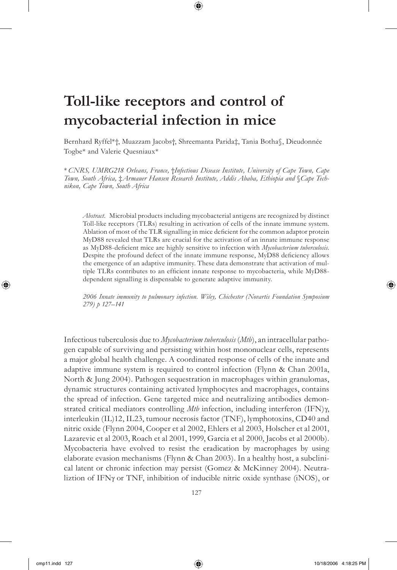# **Toll-like receptors and control of mycobacterial infection in mice**

Bernhard Ryffel\*†, Muazzam Jacobs†, Shreemanta Parida‡, Tania Botha§, Dieudonnée Togbe\* and Valerie Quesniaux\*

 $\bm \Theta$ 

\* *CNRS, UMRG218 Orleans, France,* †*Infectious Disease Institute, University of Cape Town, Cape Town, South Africa,* ‡*Armauer Hansen Research Institute, Addis Ababa, Ethiopia and* §*Cape Technikon, Cape Town, South Africa*

*Abstract.* Microbial products including mycobacterial antigens are recognized by distinct Toll-like receptors (TLRs) resulting in activation of cells of the innate immune system. Ablation of most of the TLR signalling in mice deficient for the common adaptor protein MyD88 revealed that TLRs are crucial for the activation of an innate immune response as MyD88-deficient mice are highly sensitive to infection with *Mycobacterium tuberculosis*. Despite the profound defect of the innate immune response, MyD88 deficiency allows the emergence of an adaptive immunity. These data demonstrate that activation of multiple TLRs contributes to an efficient innate response to mycobacteria, while MyD88dependent signalling is dispensable to generate adaptive immunity.

*2006 Innate immunity to pulmonary infection. Wiley, Chichester (Novartis Foundation Symposium 279) p 127–141*

Infectious tuberculosis due to *Mycobacterium tuberculosis* (*Mtb*), an intracellular pathogen capable of surviving and persisting within host mononuclear cells, represents a major global health challenge. A coordinated response of cells of the innate and adaptive immune system is required to control infection (Flynn & Chan 2001a, North & Jung 2004). Pathogen sequestration in macrophages within granulomas, dynamic structures containing activated lymphocytes and macrophages, contains the spread of infection. Gene targeted mice and neutralizing antibodies demonstrated critical mediators controlling *Mtb* infection, including interferon (IFN)γ, interleukin (IL)12, IL23, tumour necrosis factor (TNF), lymphotoxins, CD40 and nitric oxide (Flynn 2004, Cooper et al 2002, Ehlers et al 2003, Holscher et al 2001, Lazarevic et al 2003, Roach et al 2001, 1999, Garcia et al 2000, Jacobs et al 2000b). Mycobacteria have evolved to resist the eradication by macrophages by using elaborate evasion mechanisms (Flynn & Chan 2003). In a healthy host, a subclinical latent or chronic infection may persist (Gomez & McKinney 2004). Neutraliztion of IFNγ or TNF, inhibition of inducible nitric oxide synthase (iNOS), or

⊕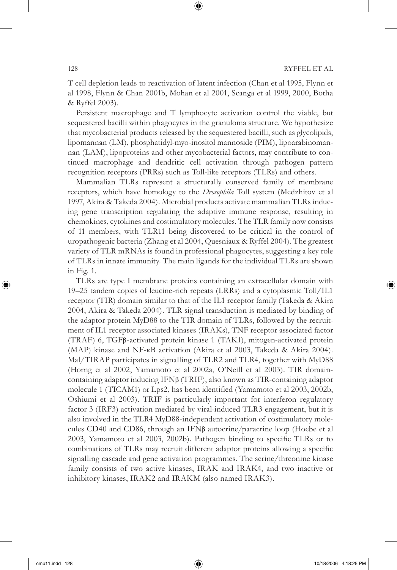T cell depletion leads to reactivation of latent infection (Chan et al 1995, Flynn et al 1998, Flynn & Chan 2001b, Mohan et al 2001, Scanga et al 1999, 2000, Botha & Ryffel 2003).

 $\bigcirc$ 

Persistent macrophage and T lymphocyte activation control the viable, but sequestered bacilli within phagocytes in the granuloma structure. We hypothesize that mycobacterial products released by the sequestered bacilli, such as glycolipids, lipomannan (LM), phosphatidyl-myo-inositol mannoside (PIM), lipoarabinomannan (LAM), lipoproteins and other mycobacterial factors, may contribute to continued macrophage and dendritic cell activation through pathogen pattern recognition receptors (PRRs) such as Toll-like receptors (TLRs) and others.

Mammalian TLRs represent a structurally conserved family of membrane receptors, which have homology to the *Drosophila* Toll system (Medzhitov et al 1997, Akira & Takeda 2004). Microbial products activate mammalian TLRs inducing gene transcription regulating the adaptive immune response, resulting in chemokines, cytokines and costimulatory molecules. The TLR family now consists of 11 members, with TLR11 being discovered to be critical in the control of uropathogenic bacteria (Zhang et al 2004, Quesniaux & Ryffel 2004). The greatest variety of TLR mRNAs is found in professional phagocytes, suggesting a key role of TLRs in innate immunity. The main ligands for the individual TLRs are shown in Fig. 1.

TLRs are type I membrane proteins containing an extracellular domain with 19–25 tandem copies of leucine-rich repeats (LRRs) and a cytoplasmic Toll/IL1 receptor (TIR) domain similar to that of the IL1 receptor family (Takeda & Akira 2004, Akira & Takeda 2004). TLR signal transduction is mediated by binding of the adaptor protein MyD88 to the TIR domain of TLRs, followed by the recruitment of IL1 receptor associated kinases (IRAKs), TNF receptor associated factor (TRAF) 6, TGFβ-activated protein kinase 1 (TAK1), mitogen-activated protein (MAP) kinase and NF-κB activation (Akira et al 2003, Takeda & Akira 2004). Mal/TIRAP participates in signalling of TLR2 and TLR4, together with MyD88 (Horng et al 2002, Yamamoto et al 2002a, O'Neill et al 2003). TIR domaincontaining adaptor inducing IFNβ (TRIF), also known as TIR-containing adaptor molecule 1 (TICAM1) or Lps2, has been identified (Yamamoto et al 2003, 2002b, Oshiumi et al 2003). TRIF is particularly important for interferon regulatory factor 3 (IRF3) activation mediated by viral-induced TLR3 engagement, but it is also involved in the TLR4 MyD88-independent activation of costimulatory molecules CD40 and CD86, through an IFNβ autocrine/paracrine loop (Hoebe et al 2003, Yamamoto et al 2003, 2002b). Pathogen binding to specific TLRs or to combinations of TLRs may recruit different adaptor proteins allowing a specific signalling cascade and gene activation programmes. The serine/threonine kinase family consists of two active kinases, IRAK and IRAK4, and two inactive or inhibitory kinases, IRAK2 and IRAKM (also named IRAK3).

⊕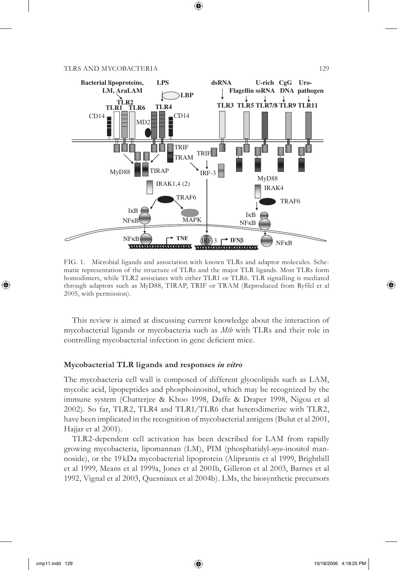

 $\bigoplus$ 

FIG. 1. Microbial ligands and association with known TLRs and adaptor molecules. Schematic representation of the structure of TLRs and the major TLR ligands. Most TLRs form homodimers, while TLR2 associates with either TLR1 or TLR6. TLR signalling is mediated through adaptors such as MyD88, TIRAP, TRIF or TRAM (Reproduced from Ryffel et al 2005, with permission).

This review is aimed at discussing current knowledge about the interaction of mycobacterial ligands or mycobacteria such as *Mtb* with TLRs and their role in controlling mycobacterial infection in gene deficient mice.

## **Mycobacterial TLR ligands and responses** *in vitro*

The mycobacteria cell wall is composed of different glyocolipids such as LAM, mycolic acid, lipopeptides and phosphoinositol, which may be recognized by the immune system (Chatterjee & Khoo 1998, Daffe & Draper 1998, Nigou et al 2002). So far, TLR2, TLR4 and TLR1/TLR6 that heterodimerize with TLR2, have been implicated in the recognition of mycobacterial antigens (Bulut et al 2001, Hajjar et al 2001).

TLR2-dependent cell activation has been described for LAM from rapidly growing mycobacteria, lipomannan (LM), PIM (phosphatidyl-*myo*-inositol mannoside), or the 19 kDa mycobacterial lipoprotein (Aliprantis et al 1999, Brightbill et al 1999, Means et al 1999a, Jones et al 2001b, Gilleron et al 2003, Barnes et al 1992, Vignal et al 2003, Quesniaux et al 2004b). LMs, the biosynthetic precursors

⊕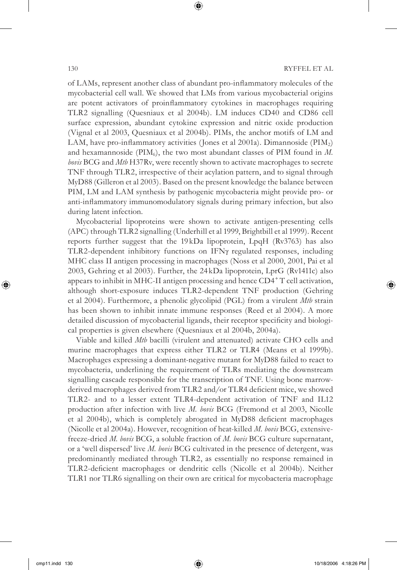of LAMs, represent another class of abundant pro-inflammatory molecules of the mycobacterial cell wall. We showed that LMs from various mycobacterial origins are potent activators of proinflammatory cytokines in macrophages requiring TLR2 signalling (Quesniaux et al 2004b). LM induces CD40 and CD86 cell surface expression, abundant cytokine expression and nitric oxide production (Vignal et al 2003, Quesniaux et al 2004b). PIMs, the anchor motifs of LM and LAM, have pro-inflammatory activities (Jones et al 2001a). Dimannoside (PIM<sub>2</sub>) and hexamannoside ( $\text{PIM}_6$ ), the two most abundant classes of PIM found in  $M$ . *bovis* BCG and *Mtb* H37Rv, were recently shown to activate macrophages to secrete TNF through TLR2, irrespective of their acylation pattern, and to signal through MyD88 (Gilleron et al 2003). Based on the present knowledge the balance between PIM, LM and LAM synthesis by pathogenic mycobacteria might provide pro- or anti-inflammatory immunomodulatory signals during primary infection, but also during latent infection.

 $\bigcirc$ 

Mycobacterial lipoproteins were shown to activate antigen-presenting cells (APC) through TLR2 signalling (Underhill et al 1999, Brightbill et al 1999). Recent reports further suggest that the 19 kDa lipoprotein, LpqH (Rv3763) has also TLR2-dependent inhibitory functions on IFNγ regulated responses, including MHC class II antigen processing in macrophages (Noss et al 2000, 2001, Pai et al 2003, Gehring et al 2003). Further, the 24 kDa lipoprotein, LprG (Rv1411c) also appears to inhibit in MHC-II antigen processing and hence CD4<sup>+</sup> T cell activation, although short-exposure induces TLR2-dependent TNF production (Gehring et al 2004). Furthermore, a phenolic glycolipid (PGL) from a virulent *Mtb* strain has been shown to inhibit innate immune responses (Reed et al 2004). A more detailed discussion of mycobacterial ligands, their receptor specificity and biological properties is given elsewhere (Quesniaux et al 2004b, 2004a).

Viable and killed *Mtb* bacilli (virulent and attenuated) activate CHO cells and murine macrophages that express either TLR2 or TLR4 (Means et al 1999b). Macrophages expressing a dominant-negative mutant for MyD88 failed to react to mycobacteria, underlining the requirement of TLRs mediating the downstream signalling cascade responsible for the transcription of TNF. Using bone marrowderived macrophages derived from TLR2 and/or TLR4 deficient mice, we showed TLR2- and to a lesser extent TLR4-dependent activation of TNF and IL12 production after infection with live *M. bovis* BCG (Fremond et al 2003, Nicolle et al 2004b), which is completely abrogated in MyD88 deficient macrophages (Nicolle et al 2004a). However, recognition of heat-killed *M. bovis* BCG, extensivefreeze-dried *M. bovis* BCG, a soluble fraction of *M. bovis* BCG culture supernatant, or a 'well dispersed' live *M. bovis* BCG cultivated in the presence of detergent, was predominantly mediated through TLR2, as essentially no response remained in TLR2-deficient macrophages or dendritic cells (Nicolle et al 2004b). Neither TLR1 nor TLR6 signalling on their own are critical for mycobacteria macrophage

⊕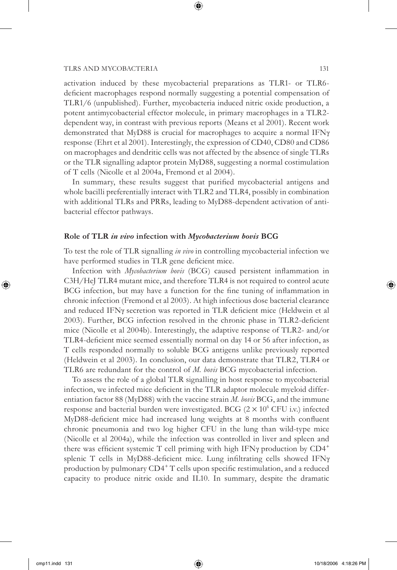activation induced by these mycobacterial preparations as TLR1- or TLR6 deficient macrophages respond normally suggesting a potential compensation of TLR1/6 (unpublished). Further, mycobacteria induced nitric oxide production, a potent antimycobacterial effector molecule, in primary macrophages in a TLR2 dependent way, in contrast with previous reports (Means et al 2001). Recent work demonstrated that MyD88 is crucial for macrophages to acquire a normal IFNγ response (Ehrt et al 2001). Interestingly, the expression of CD40, CD80 and CD86 on macrophages and dendritic cells was not affected by the absence of single TLRs or the TLR signalling adaptor protein MyD88, suggesting a normal costimulation of T cells (Nicolle et al 2004a, Fremond et al 2004).

 $\bm \Theta$ 

In summary, these results suggest that purified mycobacterial antigens and whole bacilli preferentially interact with TLR2 and TLR4, possibly in combination with additional TLRs and PRRs, leading to MyD88-dependent activation of antibacterial effector pathways.

#### **Role of TLR** *in vivo* **infection with** *Mycobacterium bovis* **BCG**

To test the role of TLR signalling *in vivo* in controlling mycobacterial infection we have performed studies in TLR gene deficient mice.

Infection with *Mycobacterium bovis* (BCG) caused persistent inflammation in C3H/HeJ TLR4 mutant mice, and therefore TLR4 is not required to control acute BCG infection, but may have a function for the fine tuning of inflammation in chronic infection (Fremond et al 2003). At high infectious dose bacterial clearance and reduced IFN $\gamma$  secretion was reported in TLR deficient mice (Heldwein et al 2003). Further, BCG infection resolved in the chronic phase in TLR2-deficient mice (Nicolle et al 2004b). Interestingly, the adaptive response of TLR2- and/or TLR4-deficient mice seemed essentially normal on day 14 or 56 after infection, as T cells responded normally to soluble BCG antigens unlike previously reported (Heldwein et al 2003). In conclusion, our data demonstrate that TLR2, TLR4 or TLR6 are redundant for the control of *M. bovis* BCG mycobacterial infection.

To assess the role of a global TLR signalling in host response to mycobacterial infection, we infected mice deficient in the TLR adaptor molecule myeloid differentiation factor 88 (MyD88) with the vaccine strain *M. bovis* BCG, and the immune response and bacterial burden were investigated. BCG  $(2 \times 10^6 \text{ CFU iv.})$  infected MyD88-deficient mice had increased lung weights at 8 months with confluent chronic pneumonia and two log higher CFU in the lung than wild-type mice (Nicolle et al 2004a), while the infection was controlled in liver and spleen and there was efficient systemic T cell priming with high IFN $\gamma$  production by CD4<sup>+</sup> splenic T cells in MyD88-deficient mice. Lung infiltrating cells showed IFNγ production by pulmonary CD4<sup>+</sup> T cells upon specific restimulation, and a reduced capacity to produce nitric oxide and IL10. In summary, despite the dramatic

⊕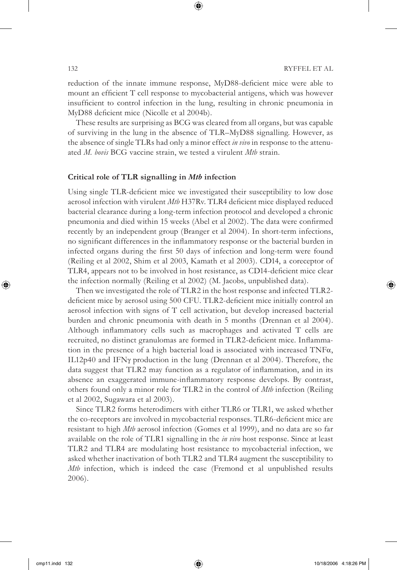reduction of the innate immune response, MyD88-deficient mice were able to mount an efficient T cell response to mycobacterial antigens, which was however insufficient to control infection in the lung, resulting in chronic pneumonia in MyD88 deficient mice (Nicolle et al 2004b).

 $\bigcirc$ 

These results are surprising as BCG was cleared from all organs, but was capable of surviving in the lung in the absence of TLR–MyD88 signalling. However, as the absence of single TLRs had only a minor effect *in vivo* in response to the attenuated *M. bovis* BCG vaccine strain, we tested a virulent *Mtb* strain.

#### **Critical role of TLR signalling in** *Mtb* **infection**

Using single TLR-deficient mice we investigated their susceptibility to low dose aerosol infection with virulent *Mtb* H37Rv. TLR4 deficient mice displayed reduced bacterial clearance during a long-term infection protocol and developed a chronic pneumonia and died within 15 weeks (Abel et al 2002). The data were confirmed recently by an independent group (Branger et al 2004). In short-term infections, no significant differences in the inflammatory response or the bacterial burden in infected organs during the first 50 days of infection and long-term were found (Reiling et al 2002, Shim et al 2003, Kamath et al 2003). CD14, a coreceptor of TLR4, appears not to be involved in host resistance, as CD14-deficient mice clear the infection normally (Reiling et al 2002) (M. Jacobs, unpublished data).

Then we investigated the role of TLR2 in the host response and infected TLR2 deficient mice by aerosol using 500 CFU. TLR2-deficient mice initially control an aerosol infection with signs of T cell activation, but develop increased bacterial burden and chronic pneumonia with death in 5 months (Drennan et al 2004). Although inflammatory cells such as macrophages and activated T cells are recruited, no distinct granulomas are formed in TLR2-deficient mice. Inflammation in the presence of a high bacterial load is associated with increased  $TNF\alpha$ , IL12p40 and IFNγ production in the lung (Drennan et al 2004). Therefore, the data suggest that TLR2 may function as a regulator of inflammation, and in its absence an exaggerated immune-inflammatory response develops. By contrast, others found only a minor role for TLR2 in the control of *Mtb* infection (Reiling et al 2002, Sugawara et al 2003).

Since TLR2 forms heterodimers with either TLR6 or TLR1, we asked whether the co-receptors are involved in mycobacterial responses. TLR6-deficient mice are resistant to high *Mtb* aerosol infection (Gomes et al 1999), and no data are so far available on the role of TLR1 signalling in the *in vivo* host response. Since at least TLR2 and TLR4 are modulating host resistance to mycobacterial infection, we asked whether inactivation of both TLR2 and TLR4 augment the susceptibility to *Mtb* infection, which is indeed the case (Fremond et al unpublished results 2006).

⊕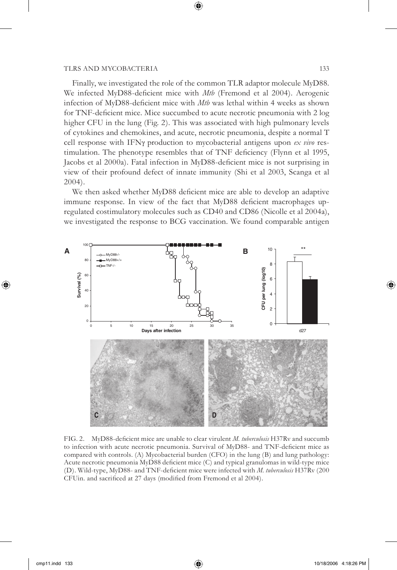Finally, we investigated the role of the common TLR adaptor molecule MyD88. We infected MyD88-deficient mice with *Mtb* (Fremond et al 2004). Aerogenic infection of MyD88-deficient mice with *Mtb* was lethal within 4 weeks as shown for TNF-deficient mice. Mice succumbed to acute necrotic pneumonia with 2 log higher CFU in the lung (Fig. 2). This was associated with high pulmonary levels of cytokines and chemokines, and acute, necrotic pneumonia, despite a normal T cell response with IFNγ production to mycobacterial antigens upon *ex vivo* restimulation. The phenotype resembles that of TNF deficiency (Flynn et al 1995, Jacobs et al 2000a). Fatal infection in MyD88-deficient mice is not surprising in view of their profound defect of innate immunity (Shi et al 2003, Scanga et al 2004).

 $\mathbin{\textcircled{\small{-}}}$ 

We then asked whether MyD88 deficient mice are able to develop an adaptive immune response. In view of the fact that MyD88 deficient macrophages upregulated costimulatory molecules such as CD40 and CD86 (Nicolle et al 2004a), we investigated the response to BCG vaccination. We found comparable antigen



FIG. 2. MyD88-deficient mice are unable to clear virulent *M. tuberculosis* H37Ry and succumb to infection with acute necrotic pneumonia. Survival of MyD88- and TNF-deficient mice as compared with controls. (A) Mycobacterial burden (CFO) in the lung (B) and lung pathology: Acute necrotic pneumonia MyD88 deficient mice (C) and typical granulomas in wild-type mice (D). Wild-type, MyD88- and TNF-deficient mice were infected with *M. tuberculosis* H37Rv (200) CFUin. and sacrificed at 27 days (modified from Fremond et al 2004).

⊕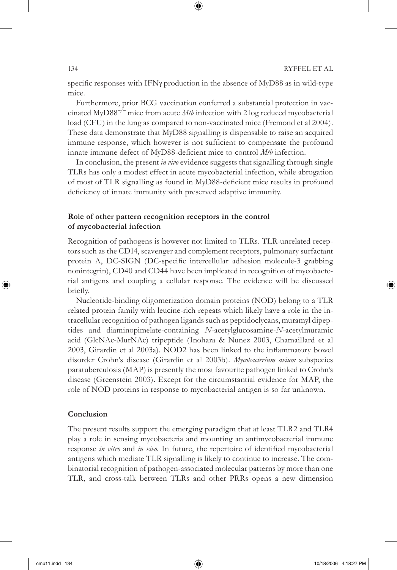specific responses with IFN $\gamma$  production in the absence of MyD88 as in wild-type mice.

 $\bigcirc$ 

Furthermore, prior BCG vaccination conferred a substantial protection in vaccinated MyD88<sup>−</sup>/<sup>−</sup> mice from acute *Mtb* infection with 2 log reduced mycobacterial load (CFU) in the lung as compared to non-vaccinated mice (Fremond et al 2004). These data demonstrate that MyD88 signalling is dispensable to raise an acquired immune response, which however is not sufficient to compensate the profound innate immune defect of MyD88-deficient mice to control *Mtb* infection.

In conclusion, the present *in vivo* evidence suggests that signalling through single TLRs has only a modest effect in acute mycobacterial infection, while abrogation of most of TLR signalling as found in MyD88-deficient mice results in profound deficiency of innate immunity with preserved adaptive immunity.

# **Role of other pattern recognition receptors in the control of mycobacterial infection**

Recognition of pathogens is however not limited to TLRs. TLR-unrelated receptors such as the CD14, scavenger and complement receptors, pulmonary surfactant protein A, DC-SIGN (DC-specific intercellular adhesion molecule-3 grabbing nonintegrin), CD40 and CD44 have been implicated in recognition of mycobacterial antigens and coupling a cellular response. The evidence will be discussed briefly.

Nucleotide-binding oligomerization domain proteins (NOD) belong to a TLR related protein family with leucine-rich repeats which likely have a role in the intracellular recognition of pathogen ligands such as peptidoclycans, muramyl dipeptides and diaminopimelate-containing *N*-acetylglucosamine-*N*-acetylmuramic acid (GlcNAc-MurNAc) tripeptide (Inohara & Nunez 2003, Chamaillard et al 2003, Girardin et al 2003a). NOD2 has been linked to the inflammatory bowel disorder Crohn's disease (Girardin et al 2003b). *Mycobacterium avium* subspecies paratuberculosis (MAP) is presently the most favourite pathogen linked to Crohn's disease (Greenstein 2003). Except for the circumstantial evidence for MAP, the role of NOD proteins in response to mycobacterial antigen is so far unknown.

#### **Conclusion**

The present results support the emerging paradigm that at least TLR2 and TLR4 play a role in sensing mycobacteria and mounting an antimycobacterial immune response *in vitro* and *in vivo*. In future, the repertoire of identified mycobacterial antigens which mediate TLR signalling is likely to continue to increase. The combinatorial recognition of pathogen-associated molecular patterns by more than one TLR, and cross-talk between TLRs and other PRRs opens a new dimension

⊕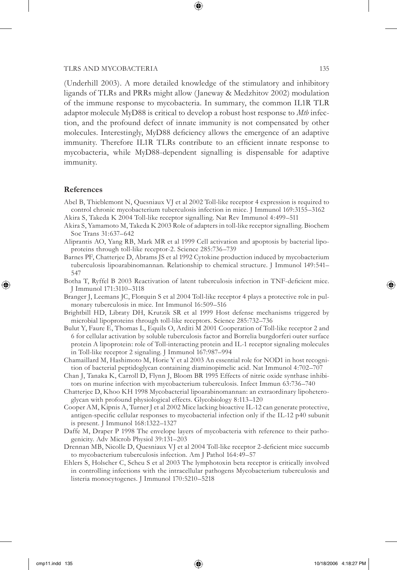(Underhill 2003). A more detailed knowledge of the stimulatory and inhibitory ligands of TLRs and PRRs might allow (Janeway & Medzhitov 2002) modulation of the immune response to mycobacteria. In summary, the common IL1R TLR adaptor molecule MyD88 is critical to develop a robust host response to *Mtb* infection, and the profound defect of innate immunity is not compensated by other molecules. Interestingly, MyD88 deficiency allows the emergence of an adaptive immunity. Therefore IL1R TLRs contribute to an efficient innate response to mycobacteria, while MyD88-dependent signalling is dispensable for adaptive immunity.

### **References**

⊕

- Abel B, Thieblemont N, Quesniaux VJ et al 2002 Toll-like receptor 4 expression is required to control chronic mycobacterium tuberculosis infection in mice. J Immunol 169:3155–3162 Akira S, Takeda K 2004 Toll-like receptor signalling. Nat Rev Immunol 4:499–511
- Akira S, Yamamoto M, Takeda K 2003 Role of adapters in toll-like receptor signalling. Biochem Soc Trans 31:637–642
- Aliprantis AO, Yang RB, Mark MR et al 1999 Cell activation and apoptosis by bacterial lipoproteins through toll-like receptor-2. Science 285:736–739
- Barnes PF, Chatterjee D, Abrams JS et al 1992 Cytokine production induced by mycobacterium tuberculosis lipoarabinomannan. Relationship to chemical structure. J Immunol 149:541– 547
- Botha T, Ryffel B 2003 Reactivation of latent tuberculosis infection in TNF-deficient mice. J Immunol 171:3110–3118
- Branger J, Leemans JC, Florquin S et al 2004 Toll-like receptor 4 plays a protective role in pulmonary tuberculosis in mice. Int Immunol 16:509–516
- Brightbill HD, Libraty DH, Krutzik SR et al 1999 Host defense mechanisms triggered by microbial lipoproteins through toll-like receptors. Science 285:732–736
- Bulut Y, Faure E, Thomas L, Equils O, Arditi M 2001 Cooperation of Toll-like receptor 2 and 6 for cellular activation by soluble tuberculosis factor and Borrelia burgdorferi outer surface protein A lipoprotein: role of Toll-interacting protein and IL-1 receptor signaling molecules in Toll-like receptor 2 signaling. J Immunol 167:987–994
- Chamaillard M, Hashimoto M, Horie Y et al 2003 An essential role for NOD1 in host recognition of bacterial peptidoglycan containing diaminopimelic acid. Nat Immunol 4:702–707
- Chan J, Tanaka K, Carroll D, Flynn J, Bloom BR 1995 Effects of nitric oxide synthase inhibitors on murine infection with mycobacterium tuberculosis. Infect Immun 63:736–740
- Chatterjee D, Khoo KH 1998 Mycobacterial lipoarabinomannan: an extraordinary lipoheteroglycan with profound physiological effects. Glycobiology 8:113–120
- Cooper AM, Kipnis A, Turner J et al 2002 Mice lacking bioactive IL-12 can generate protective, antigen-specific cellular responses to mycobacterial infection only if the IL-12 p40 subunit is present. J Immunol 168:1322–1327
- Daffe M, Draper P 1998 The envelope layers of mycobacteria with reference to their pathogenicity. Adv Microb Physiol 39:131–203
- Drennan MB, Nicolle D, Quesniaux VJ et al 2004 Toll-like receptor 2-deficient mice succumb to mycobacterium tuberculosis infection. Am J Pathol 164:49–57
- Ehlers S, Holscher C, Scheu S et al 2003 The lymphotoxin beta receptor is critically involved in controlling infections with the intracellular pathogens Mycobacterium tuberculosis and listeria monocytogenes. J Immunol 170:5210–5218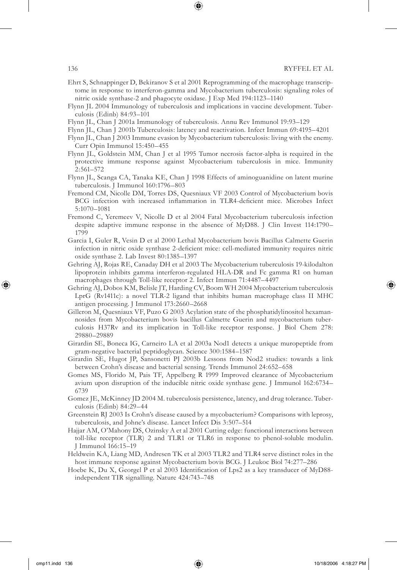- 
- Ehrt S, Schnappinger D, Bekiranov S et al 2001 Reprogramming of the macrophage transcriptome in response to interferon-gamma and Mycobacterium tuberculosis: signaling roles of nitric oxide synthase-2 and phagocyte oxidase. J Exp Med 194:1123–1140
- Flynn JL 2004 Immunology of tuberculosis and implications in vaccine development. Tuberculosis (Edinb) 84:93–101
- Flynn JL, Chan J 2001a Immunology of tuberculosis. Annu Rev Immunol 19:93–129
- Flynn JL, Chan J 2001b Tuberculosis: latency and reactivation. Infect Immun 69:4195–4201
- Flynn JL, Chan J 2003 Immune evasion by Mycobacterium tuberculosis: living with the enemy. Curr Opin Immunol 15:450–455
- Flynn JL, Goldstein MM, Chan J et al 1995 Tumor necrosis factor-alpha is required in the protective immune response against Mycobacterium tuberculosis in mice. Immunity 2:561–572
- Flynn JL, Scanga CA, Tanaka KE, Chan J 1998 Effects of aminoguanidine on latent murine tuberculosis. J Immunol 160:1796–803
- Fremond CM, Nicolle DM, Torres DS, Quesniaux VF 2003 Control of Mycobacterium bovis BCG infection with increased inflammation in TLR4-deficient mice. Microbes Infect 5:1070–1081
- Fremond C, Yeremeev V, Nicolle D et al 2004 Fatal Mycobacterium tuberculosis infection despite adaptive immune response in the absence of MyD88. J Clin Invest 114:1790– 1799
- Garcia I, Guler R, Vesin D et al 2000 Lethal Mycobacterium bovis Bacillus Calmette Guerin infection in nitric oxide synthase 2-deficient mice: cell-mediated immunity requires nitric oxide synthase 2. Lab Invest 80:1385–1397
- Gehring AJ, Rojas RE, Canaday DH et al 2003 The Mycobacterium tuberculosis 19-kilodalton lipoprotein inhibits gamma interferon-regulated HLA-DR and Fc gamma R1 on human macrophages through Toll-like receptor 2. Infect Immun 71:4487–4497
- Gehring AJ, Dobos KM, Belisle JT, Harding CV, Boom WH 2004 Mycobacterium tuberculosis LprG (Rv1411c): a novel TLR-2 ligand that inhibits human macrophage class II MHC antigen processing. J Immunol 173:2660–2668
- Gilleron M, Quesniaux VF, Puzo G 2003 Acylation state of the phosphatidylinositol hexamannosides from Mycobacterium bovis bacillus Calmette Guerin and mycobacterium tuberculosis H37Rv and its implication in Toll-like receptor response. J Biol Chem 278: 29880–29889
- Girardin SE, Boneca IG, Carneiro LA et al 2003a Nod1 detects a unique muropeptide from gram-negative bacterial peptidoglycan. Science 300:1584–1587
- Girardin SE, Hugot JP, Sansonetti PJ 2003b Lessons from Nod2 studies: towards a link between Crohn's disease and bacterial sensing. Trends Immunol 24:652–658
- Gomes MS, Florido M, Pais TF, Appelberg R 1999 Improved clearance of Mycobacterium avium upon disruption of the inducible nitric oxide synthase gene. J Immunol 162:6734– 6739
- Gomez JE, McKinney JD 2004 M. tuberculosis persistence, latency, and drug tolerance. Tuberculosis (Edinb) 84:29–44
- Greenstein RJ 2003 Is Crohn's disease caused by a mycobacterium? Comparisons with leprosy, tuberculosis, and Johne's disease. Lancet Infect Dis 3:507–514
- Hajjar AM, O'Mahony DS, Ozinsky A et al 2001 Cutting edge: functional interactions between toll-like receptor (TLR) 2 and TLR1 or TLR6 in response to phenol-soluble modulin. J Immunol 166:15–19
- Heldwein KA, Liang MD, Andresen TK et al 2003 TLR2 and TLR4 serve distinct roles in the host immune response against Mycobacterium bovis BCG. J Leukoc Biol 74:277–286
- Hoebe K, Du X, Georgel P et al 2003 Identification of Lps2 as a key transducer of MyD88independent TIR signalling. Nature 424:743–748

⊕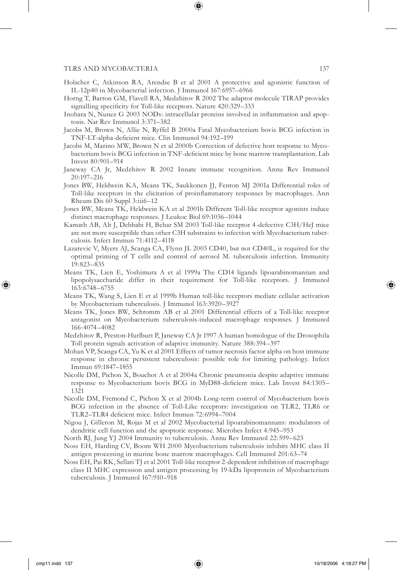- Holscher C, Atkinson RA, Arendse B et al 2001 A protective and agonistic function of IL-12p40 in Mycobacterial infection. J Immunol 167:6957–6966
- Horng T, Barton GM, Flavell RA, Medzhitov R 2002 The adaptor molecule TIRAP provides signalling specificity for Toll-like receptors. Nature 420:329-333
- Inohara N, Nunez G 2003 NODs: intracellular proteins involved in inflammation and apoptosis. Nat Rev Immunol 3:371–382
- Jacobs M, Brown N, Allie N, Ryffel B 2000a Fatal Mycobacterium bovis BCG infection in TNF-LT-alpha-deficient mice. Clin Immunol 94:192-199
- Jacobs M, Marino MW, Brown N et al 2000b Correction of defective host response to Mycobacterium bovis BCG infection in TNF-deficient mice by bone marrow transplantation. Lab Invest 80:901–914
- Janeway CA Jr, Medzhitov R 2002 Innate immune recognition. Annu Rev Immunol 20:197–216
- Jones BW, Heldwein KA, Means TK, Saukkonen JJ, Fenton MJ 2001a Differential roles of Toll-like receptors in the elicitation of proinflammatory responses by macrophages. Ann Rheum Dis 60 Suppl 3:iii6–12
- Jones BW, Means TK, Heldwein KA et al 2001b Different Toll-like receptor agonists induce distinct macrophage responses. J Leukoc Biol 69:1036–1044
- Kamath AB, Alt J, Debbabi H, Behar SM 2003 Toll-like receptor 4-defective C3H/HeJ mice are not more susceptible than other C3H substrains to infection with Mycobacterium tuberculosis. Infect Immun 71:4112–4118
- Lazarevic V, Myers AJ, Scanga CA, Flynn JL 2003 CD40, but not CD40L, is required for the optimal priming of T cells and control of aerosol M. tuberculosis infection. Immunity 19:823–835
- Means TK, Lien E, Yoshimura A et al 1999a The CD14 ligands lipoarabinomannan and lipopolysaccharide differ in their requirement for Toll-like receptors. J Immunol 163:6748–6755
- Means TK, Wang S, Lien E et al 1999b Human toll-like receptors mediate cellular activation by Mycobacterium tuberculosis. J Immunol 163:3920–3927
- Means TK, Jones BW, Schromm AB et al 2001 Differential effects of a Toll-like receptor antagonist on Mycobacterium tuberculosis-induced macrophage responses. J Immunol 166:4074–4082
- Medzhitov R, Preston-Hurlburt P, Janeway CA Jr 1997 A human homologue of the Drosophila Toll protein signals activation of adaptive immunity. Nature 388:394–397
- Mohan VP, Scanga CA, Yu K et al 2001 Effects of tumor necrosis factor alpha on host immune response in chronic persistent tuberculosis: possible role for limiting pathology. Infect Immun 69:1847–1855
- Nicolle DM, Pichon X, Bouchot A et al 2004a Chronic pneumonia despite adaptive immune response to Mycobacterium bovis BCG in MyD88-deficient mice. Lab Invest 84:1305– 1321
- Nicolle DM, Fremond C, Pichon X et al 2004b Long-term control of Mycobacterium bovis BCG infection in the absence of Toll-Like receptors: investigation on TLR2, TLR6 or TLR2-TLR4 deficient mice. Infect Immun 72:6994-7004
- Nigou J, Gilleron M, Rojas M et al 2002 Mycobacterial lipoarabinomannans: modulators of dendritic cell function and the apoptotic response. Microbes Infect 4:945–953
- North RJ, Jung YJ 2004 Immunity to tuberculosis. Annu Rev Immunol 22:599–623
- Noss EH, Harding CV, Boom WH 2000 Mycobacterium tuberculosis inhibits MHC class II antigen processing in murine bone marrow macrophages. Cell Immunol 201:63–74
- Noss EH, Pai RK, Sellati TJ et al 2001 Toll-like receptor 2-dependent inhibition of macrophage class II MHC expression and antigen processing by 19-kDa lipoprotein of Mycobacterium tuberculosis. J Immunol 167:910–918

⊕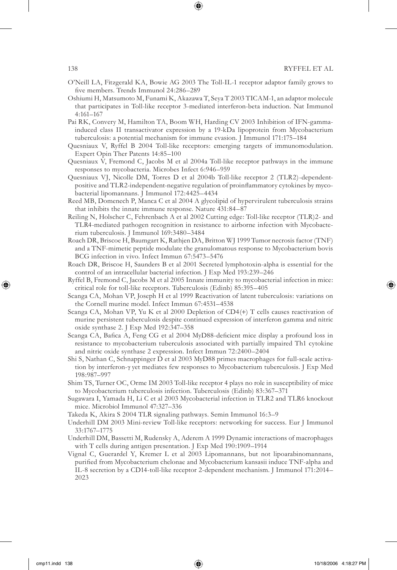- 
- O'Neill LA, Fitzgerald KA, Bowie AG 2003 The Toll-IL-1 receptor adaptor family grows to five members. Trends Immunol 24:286-289
- Oshiumi H, Matsumoto M, Funami K, Akazawa T, Seya T 2003 TICAM-1, an adaptor molecule that participates in Toll-like receptor 3-mediated interferon-beta induction. Nat Immunol 4:161–167
- Pai RK, Convery M, Hamilton TA, Boom WH, Harding CV 2003 Inhibition of IFN-gammainduced class II transactivator expression by a 19-kDa lipoprotein from Mycobacterium tuberculosis: a potential mechanism for immune evasion. J Immunol 171:175–184
- Quesniaux V, Ryffel B 2004 Toll-like receptors: emerging targets of immunomodulation. Expert Opin Ther Patents 14:85–100
- Quesniaux V, Fremond C, Jacobs M et al 2004a Toll-like receptor pathways in the immune responses to mycobacteria. Microbes Infect 6:946–959
- Quesniaux VJ, Nicolle DM, Torres D et al 2004b Toll-like receptor 2 (TLR2)-dependentpositive and TLR2-independent-negative regulation of proinflammatory cytokines by mycobacterial lipomannans. J Immunol 172:4425–4434
- Reed MB, Domenech P, Manca C et al 2004 A glycolipid of hypervirulent tuberculosis strains that inhibits the innate immune response. Nature 431:84–87
- Reiling N, Holscher C, Fehrenbach A et al 2002 Cutting edge: Toll-like receptor (TLR)2- and TLR4-mediated pathogen recognition in resistance to airborne infection with Mycobacterium tuberculosis. J Immunol 169:3480–3484
- Roach DR, Briscoe H, Baumgart K, Rathjen DA, Britton WJ 1999 Tumor necrosis factor (TNF) and a TNF-mimetic peptide modulate the granulomatous response to Mycobacterium bovis BCG infection in vivo. Infect Immun 67:5473–5476
- Roach DR, Briscoe H, Saunders B et al 2001 Secreted lymphotoxin-alpha is essential for the control of an intracellular bacterial infection. J Exp Med 193:239–246
- Ryffel B, Fremond C, Jacobs M et al 2005 Innate immunity to mycobacterial infection in mice: critical role for toll-like receptors. Tuberculosis (Edinb) 85:395–405
- Scanga CA, Mohan VP, Joseph H et al 1999 Reactivation of latent tuberculosis: variations on the Cornell murine model. Infect Immun 67:4531–4538
- Scanga CA, Mohan VP, Yu K et al 2000 Depletion of CD4(+) T cells causes reactivation of murine persistent tuberculosis despite continued expression of interferon gamma and nitric oxide synthase 2. J Exp Med 192:347–358
- Scanga CA, Bafica A, Feng CG et al 2004 MyD88-deficient mice display a profound loss in resistance to mycobacterium tuberculosis associated with partially impaired Th1 cytokine and nitric oxide synthase 2 expression. Infect Immun 72:2400–2404
- Shi S, Nathan C, Schnappinger D et al 2003 MyD88 primes macrophages for full-scale activation by interferon-γ yet mediates few responses to Mycobacterium tuberculosis. J Exp Med 198:987–997
- Shim TS, Turner OC, Orme IM 2003 Toll-like receptor 4 plays no role in susceptibility of mice to Mycobacterium tuberculosis infection. Tuberculosis (Edinb) 83:367–371
- Sugawara I, Yamada H, Li C et al 2003 Mycobacterial infection in TLR2 and TLR6 knockout mice. Microbiol Immunol 47:327–336
- Takeda K, Akira S 2004 TLR signaling pathways. Semin Immunol 16:3–9
- Underhill DM 2003 Mini-review Toll-like receptors: networking for success. Eur J Immunol 33:1767–1775
- Underhill DM, Bassetti M, Rudensky A, Aderem A 1999 Dynamic interactions of macrophages with T cells during antigen presentation. J Exp Med 190:1909–1914
- Vignal C, Guerardel Y, Kremer L et al 2003 Lipomannans, but not lipoarabinomannans, purified from Mycobacterium chelonae and Mycobacterium kansasii induce TNF-alpha and IL-8 secretion by a CD14-toll-like receptor 2-dependent mechanism. J Immunol 171:2014– 2023

⊕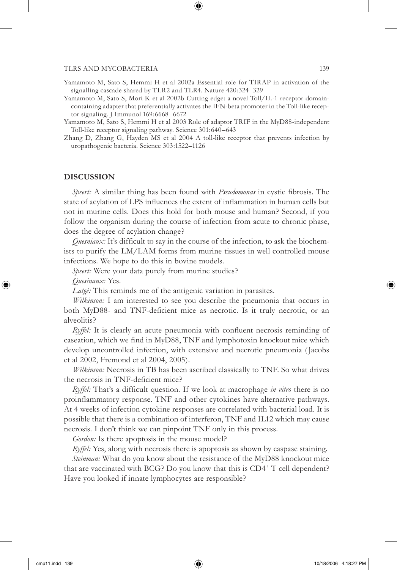Yamamoto M, Sato S, Hemmi H et al 2002a Essential role for TIRAP in activation of the signalling cascade shared by TLR2 and TLR4. Nature 420:324–329

⊕

- Yamamoto M, Sato S, Mori K et al 2002b Cutting edge: a novel Toll/IL-1 receptor domaincontaining adapter that preferentially activates the IFN-beta promoter in the Toll-like receptor signaling. J Immunol 169:6668–6672
- Yamamoto M, Sato S, Hemmi H et al 2003 Role of adaptor TRIF in the MyD88-independent Toll-like receptor signaling pathway. Science 301:640–643
- Zhang D, Zhang G, Hayden MS et al 2004 A toll-like receptor that prevents infection by uropathogenic bacteria. Science 303:1522–1126

# **DISCUSSION**

*Speert:* A similar thing has been found with *Pseudomonas* in cystic fibrosis. The state of acylation of LPS influences the extent of inflammation in human cells but not in murine cells. Does this hold for both mouse and human? Second, if you follow the organism during the course of infection from acute to chronic phase, does the degree of acylation change?

*Quesniaux:* It's difficult to say in the course of the infection, to ask the biochemists to purify the LM/LAM forms from murine tissues in well controlled mouse infections. We hope to do this in bovine models.

*Speert:* Were your data purely from murine studies?

*Quesinaux:* Yes.

⊕

*Latgé:* This reminds me of the antigenic variation in parasites.

*Wilkinson:* I am interested to see you describe the pneumonia that occurs in both MyD88- and TNF-deficient mice as necrotic. Is it truly necrotic, or an alveolitis?

*Ryffel:* It is clearly an acute pneumonia with confluent necrosis reminding of caseation, which we find in MyD88, TNF and lymphotoxin knockout mice which develop uncontrolled infection, with extensive and necrotic pneumonia ( Jacobs et al 2002, Fremond et al 2004, 2005).

*Wilkinson:* Necrosis in TB has been ascribed classically to TNF. So what drives the necrosis in TNF-deficient mice?

*Ryffel:* That's a difficult question. If we look at macrophage *in vitro* there is no proinflammatory response. TNF and other cytokines have alternative pathways. At 4 weeks of infection cytokine responses are correlated with bacterial load. It is possible that there is a combination of interferon, TNF and IL12 which may cause necrosis. I don't think we can pinpoint TNF only in this process.

*Gordon:* Is there apoptosis in the mouse model?

*Ryffel:* Yes, along with necrosis there is apoptosis as shown by caspase staining.

*Steinman:* What do you know about the resistance of the MyD88 knockout mice that are vaccinated with BCG? Do you know that this is CD4<sup>+</sup> T cell dependent? Have you looked if innate lymphocytes are responsible?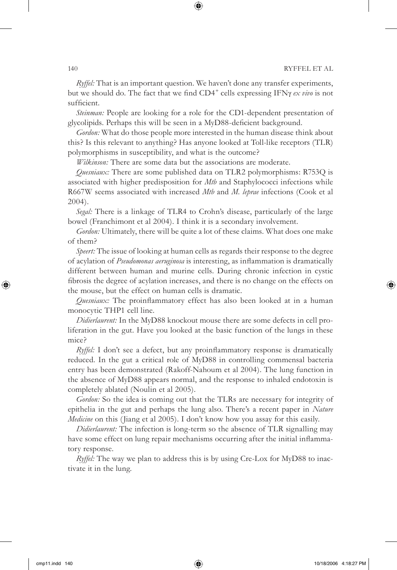*Ryffel:* That is an important question. We haven't done any transfer experiments, but we should do. The fact that we find CD4<sup>+</sup> cells expressing IFNγ ex vivo is not sufficient.

 $\bm \Theta$ 

*Steinman:* People are looking for a role for the CD1-dependent presentation of glycolipids. Perhaps this will be seen in a MyD88-deficient background.

*Gordon:* What do those people more interested in the human disease think about this? Is this relevant to anything? Has anyone looked at Toll-like receptors (TLR) polymorphisms in susceptibility, and what is the outcome?

*Wilkinson:* There are some data but the associations are moderate.

*Quesniaux:* There are some published data on TLR2 polymorphisms: R753Q is associated with higher predisposition for *Mtb* and Staphylococci infections while R667W seems associated with increased *Mtb* and *M. leprae* infections (Cook et al 2004).

*Segal:* There is a linkage of TLR4 to Crohn's disease, particularly of the large bowel (Franchimont et al 2004). I think it is a secondary involvement.

*Gordon:* Ultimately, there will be quite a lot of these claims. What does one make of them?

*Speert:* The issue of looking at human cells as regards their response to the degree of acylation of *Pseudomonas aeruginosa* is interesting, as inflammation is dramatically different between human and murine cells. During chronic infection in cystic fibrosis the degree of acylation increases, and there is no change on the effects on the mouse, but the effect on human cells is dramatic.

*Quesniaux:* The proinflammatory effect has also been looked at in a human monocytic THP1 cell line.

*Didierlaurent:* In the MyD88 knockout mouse there are some defects in cell proliferation in the gut. Have you looked at the basic function of the lungs in these mice?

*Ryffel:* I don't see a defect, but any proinflammatory response is dramatically reduced. In the gut a critical role of MyD88 in controlling commensal bacteria entry has been demonstrated (Rakoff-Nahoum et al 2004). The lung function in the absence of MyD88 appears normal, and the response to inhaled endotoxin is completely ablated (Noulin et al 2005).

*Gordon:* So the idea is coming out that the TLRs are necessary for integrity of epithelia in the gut and perhaps the lung also. There's a recent paper in *Nature Medicine* on this (Jiang et al 2005). I don't know how you assay for this easily.

*Didierlaurent:* The infection is long-term so the absence of TLR signalling may have some effect on lung repair mechanisms occurring after the initial inflammatory response.

*Ryffel:* The way we plan to address this is by using Cre-Lox for MyD88 to inactivate it in the lung.

⊕